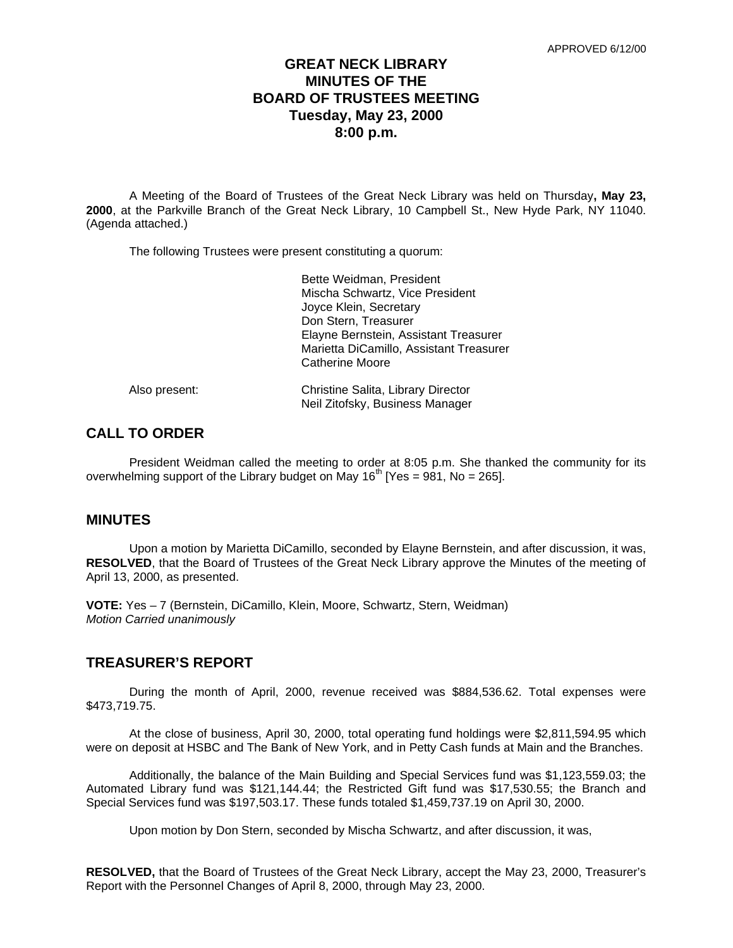# **GREAT NECK LIBRARY MINUTES OF THE BOARD OF TRUSTEES MEETING Tuesday, May 23, 2000 8:00 p.m.**

A Meeting of the Board of Trustees of the Great Neck Library was held on Thursday**, May 23, 2000**, at the Parkville Branch of the Great Neck Library, 10 Campbell St., New Hyde Park, NY 11040. (Agenda attached.)

The following Trustees were present constituting a quorum:

|               | Bette Weidman, President<br>Mischa Schwartz, Vice President<br>Joyce Klein, Secretary<br>Don Stern, Treasurer<br>Elayne Bernstein, Assistant Treasurer<br>Marietta DiCamillo, Assistant Treasurer<br>Catherine Moore |
|---------------|----------------------------------------------------------------------------------------------------------------------------------------------------------------------------------------------------------------------|
| Also present: | Christine Salita, Library Director<br>Neil Zitofsky, Business Manager                                                                                                                                                |

# **CALL TO ORDER**

President Weidman called the meeting to order at 8:05 p.m. She thanked the community for its overwhelming support of the Library budget on May  $16<sup>th</sup>$  [Yes = 981, No = 265].

# **MINUTES**

Upon a motion by Marietta DiCamillo, seconded by Elayne Bernstein, and after discussion, it was, **RESOLVED**, that the Board of Trustees of the Great Neck Library approve the Minutes of the meeting of April 13, 2000, as presented.

**VOTE:** Yes – 7 (Bernstein, DiCamillo, Klein, Moore, Schwartz, Stern, Weidman) *Motion Carried unanimously*

# **TREASURER'S REPORT**

During the month of April, 2000, revenue received was \$884,536.62. Total expenses were \$473,719.75.

At the close of business, April 30, 2000, total operating fund holdings were \$2,811,594.95 which were on deposit at HSBC and The Bank of New York, and in Petty Cash funds at Main and the Branches.

Additionally, the balance of the Main Building and Special Services fund was \$1,123,559.03; the Automated Library fund was \$121,144.44; the Restricted Gift fund was \$17,530.55; the Branch and Special Services fund was \$197,503.17. These funds totaled \$1,459,737.19 on April 30, 2000.

Upon motion by Don Stern, seconded by Mischa Schwartz, and after discussion, it was,

**RESOLVED,** that the Board of Trustees of the Great Neck Library, accept the May 23, 2000, Treasurer's Report with the Personnel Changes of April 8, 2000, through May 23, 2000.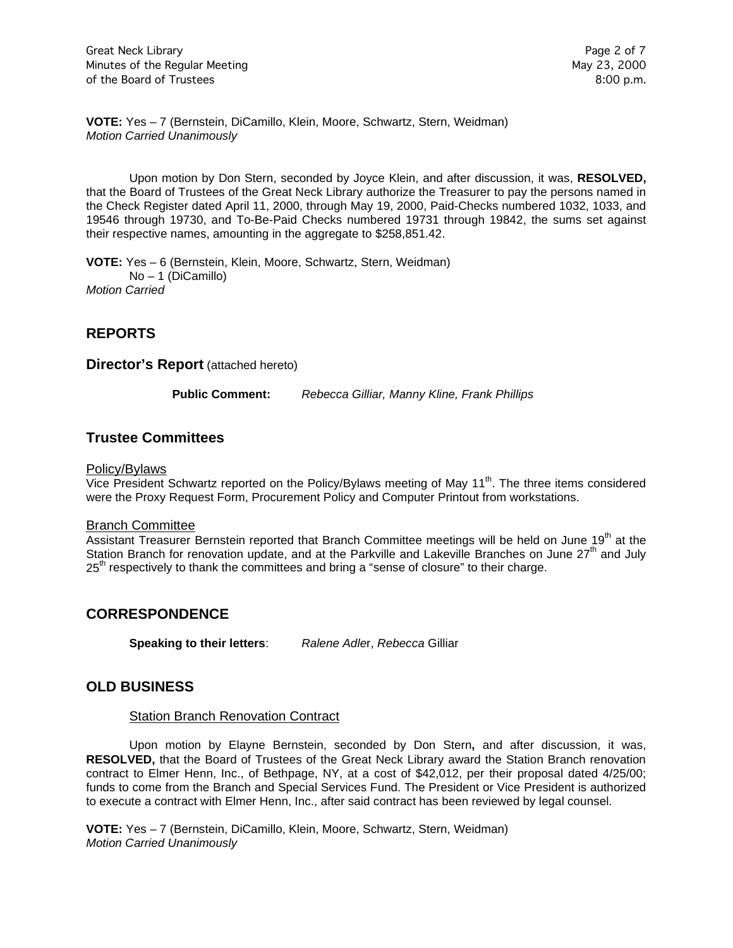**VOTE:** Yes – 7 (Bernstein, DiCamillo, Klein, Moore, Schwartz, Stern, Weidman) *Motion Carried Unanimously*

Upon motion by Don Stern, seconded by Joyce Klein, and after discussion, it was, **RESOLVED,**  that the Board of Trustees of the Great Neck Library authorize the Treasurer to pay the persons named in the Check Register dated April 11, 2000, through May 19, 2000, Paid-Checks numbered 1032, 1033, and 19546 through 19730, and To-Be-Paid Checks numbered 19731 through 19842, the sums set against their respective names, amounting in the aggregate to \$258,851.42.

**VOTE:** Yes – 6 (Bernstein, Klein, Moore, Schwartz, Stern, Weidman) No – 1 (DiCamillo) *Motion Carried* 

# **REPORTS**

**Director's Report** (attached hereto)

**Public Comment:** *Rebecca Gilliar, Manny Kline, Frank Phillips*

# **Trustee Committees**

#### Policy/Bylaws

Vice President Schwartz reported on the Policy/Bylaws meeting of May 11<sup>th</sup>. The three items considered were the Proxy Request Form, Procurement Policy and Computer Printout from workstations.

#### Branch Committee

Assistant Treasurer Bernstein reported that Branch Committee meetings will be held on June 19<sup>th</sup> at the Station Branch for renovation update, and at the Parkville and Lakeville Branches on June 27<sup>th</sup> and July  $25<sup>th</sup>$  respectively to thank the committees and bring a "sense of closure" to their charge.

# **CORRESPONDENCE**

**Speaking to their letters**: *Ralene Adle*r, *Rebecca* Gilliar

# **OLD BUSINESS**

#### Station Branch Renovation Contract

Upon motion by Elayne Bernstein, seconded by Don Stern**,** and after discussion, it was, **RESOLVED,** that the Board of Trustees of the Great Neck Library award the Station Branch renovation contract to Elmer Henn, Inc., of Bethpage, NY, at a cost of \$42,012, per their proposal dated 4/25/00; funds to come from the Branch and Special Services Fund. The President or Vice President is authorized to execute a contract with Elmer Henn, Inc., after said contract has been reviewed by legal counsel.

**VOTE:** Yes – 7 (Bernstein, DiCamillo, Klein, Moore, Schwartz, Stern, Weidman) *Motion Carried Unanimously*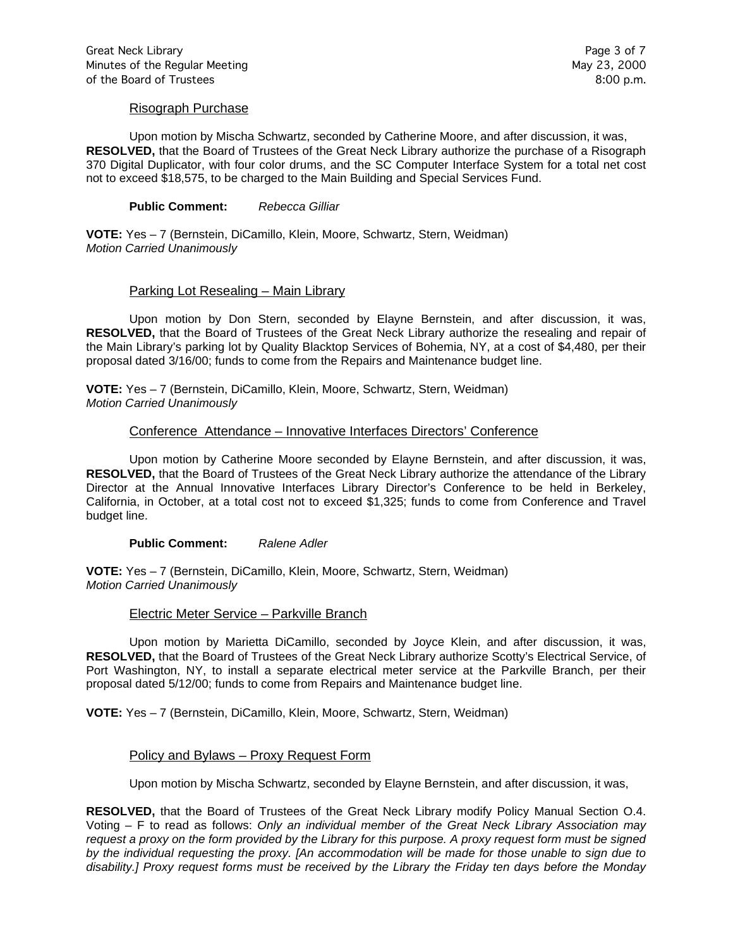### Risograph Purchase

Upon motion by Mischa Schwartz, seconded by Catherine Moore, and after discussion, it was, **RESOLVED,** that the Board of Trustees of the Great Neck Library authorize the purchase of a Risograph 370 Digital Duplicator, with four color drums, and the SC Computer Interface System for a total net cost not to exceed \$18,575, to be charged to the Main Building and Special Services Fund.

#### **Public Comment:** *Rebecca Gilliar*

**VOTE:** Yes – 7 (Bernstein, DiCamillo, Klein, Moore, Schwartz, Stern, Weidman) *Motion Carried Unanimously*

# Parking Lot Resealing – Main Library

Upon motion by Don Stern, seconded by Elayne Bernstein, and after discussion, it was, **RESOLVED,** that the Board of Trustees of the Great Neck Library authorize the resealing and repair of the Main Library's parking lot by Quality Blacktop Services of Bohemia, NY, at a cost of \$4,480, per their proposal dated 3/16/00; funds to come from the Repairs and Maintenance budget line.

**VOTE:** Yes – 7 (Bernstein, DiCamillo, Klein, Moore, Schwartz, Stern, Weidman) *Motion Carried Unanimously*

# Conference Attendance – Innovative Interfaces Directors' Conference

Upon motion by Catherine Moore seconded by Elayne Bernstein, and after discussion, it was, **RESOLVED,** that the Board of Trustees of the Great Neck Library authorize the attendance of the Library Director at the Annual Innovative Interfaces Library Director's Conference to be held in Berkeley, California, in October, at a total cost not to exceed \$1,325; funds to come from Conference and Travel budget line.

#### **Public Comment:** *Ralene Adler*

**VOTE:** Yes – 7 (Bernstein, DiCamillo, Klein, Moore, Schwartz, Stern, Weidman) *Motion Carried Unanimously*

#### Electric Meter Service – Parkville Branch

Upon motion by Marietta DiCamillo, seconded by Joyce Klein, and after discussion, it was, **RESOLVED,** that the Board of Trustees of the Great Neck Library authorize Scotty's Electrical Service, of Port Washington, NY, to install a separate electrical meter service at the Parkville Branch, per their proposal dated 5/12/00; funds to come from Repairs and Maintenance budget line.

**VOTE:** Yes – 7 (Bernstein, DiCamillo, Klein, Moore, Schwartz, Stern, Weidman)

# Policy and Bylaws – Proxy Request Form

Upon motion by Mischa Schwartz, seconded by Elayne Bernstein, and after discussion, it was,

**RESOLVED,** that the Board of Trustees of the Great Neck Library modify Policy Manual Section O.4. Voting – F to read as follows: *Only an individual member of the Great Neck Library Association may request a proxy on the form provided by the Library for this purpose. A proxy request form must be signed by the individual requesting the proxy. [An accommodation will be made for those unable to sign due to disability.] Proxy request forms must be received by the Library the Friday ten days before the Monday*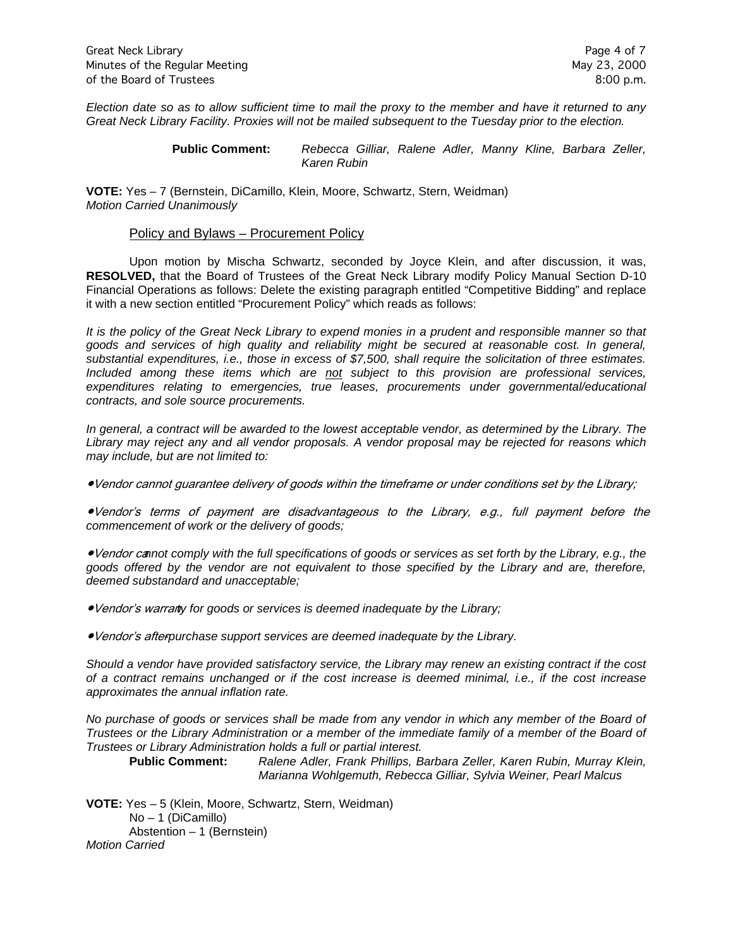*Election date so as to allow sufficient time to mail the proxy to the member and have it returned to any Great Neck Library Facility. Proxies will not be mailed subsequent to the Tuesday prior to the election.*

> **Public Comment:** *Rebecca Gilliar, Ralene Adler, Manny Kline, Barbara Zeller, Karen Rubin*

**VOTE:** Yes – 7 (Bernstein, DiCamillo, Klein, Moore, Schwartz, Stern, Weidman) *Motion Carried Unanimously*

#### Policy and Bylaws – Procurement Policy

Upon motion by Mischa Schwartz, seconded by Joyce Klein, and after discussion, it was, **RESOLVED,** that the Board of Trustees of the Great Neck Library modify Policy Manual Section D-10 Financial Operations as follows: Delete the existing paragraph entitled "Competitive Bidding" and replace it with a new section entitled "Procurement Policy" which reads as follows:

*It is the policy of the Great Neck Library to expend monies in a prudent and responsible manner so that goods and services of high quality and reliability might be secured at reasonable cost. In general, substantial expenditures, i.e., those in excess of \$7,500, shall require the solicitation of three estimates. Included among these items which are not subject to this provision are professional services, expenditures relating to emergencies, true leases, procurements under governmental/educational contracts, and sole source procurements.* 

*In general, a contract will be awarded to the lowest acceptable vendor, as determined by the Library. The Library may reject any and all vendor proposals. A vendor proposal may be rejected for reasons which may include, but are not limited to:*

●Vendor cannot guarantee delivery of goods within the timeframe or under conditions set by the Library;

●Vendor's terms of payment are disadvantageous to the Library, e.g., full payment before the *commencement of work or the delivery of goods;*

●Vendor ca*nnot comply with the full specifications of goods or services as set forth by the Library, e.g., the goods offered by the vendor are not equivalent to those specified by the Library and are, therefore, deemed substandard and unacceptable;*

●Vendor's warran*ty for goods or services is deemed inadequate by the Library;*

•Vendor's afterpurchase support services are deemed inadequate by the Library.

*Should a vendor have provided satisfactory service, the Library may renew an existing contract if the cost of a contract remains unchanged or if the cost increase is deemed minimal, i.e., if the cost increase approximates the annual inflation rate.* 

*No purchase of goods or services shall be made from any vendor in which any member of the Board of Trustees or the Library Administration or a member of the immediate family of a member of the Board of Trustees or Library Administration holds a full or partial interest.*

**Public Comment:** *Ralene Adler, Frank Phillips, Barbara Zeller, Karen Rubin, Murray Klein, Marianna Wohlgemuth, Rebecca Gilliar, Sylvia Weiner, Pearl Malcus*

**VOTE:** Yes – 5 (Klein, Moore, Schwartz, Stern, Weidman) No – 1 (DiCamillo) Abstention – 1 (Bernstein) *Motion Carried*